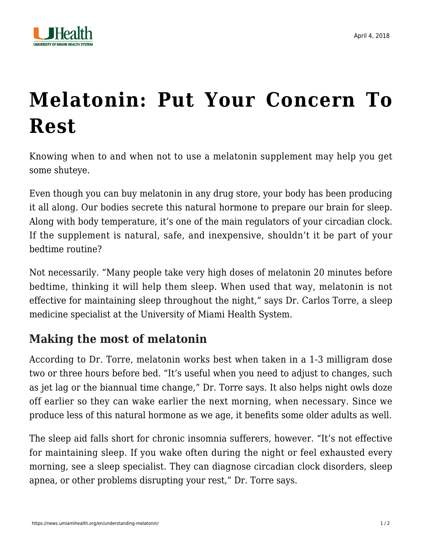

## **[Melatonin: Put Your Concern To](https://news.umiamihealth.org/en/understanding-melatonin/) [Rest](https://news.umiamihealth.org/en/understanding-melatonin/)**

Knowing when to and when not to use a melatonin supplement may help you get some shuteye.

Even though you can buy melatonin in any drug store, your body has been producing it all along. Our bodies secrete this natural hormone to prepare our brain for sleep. Along with body temperature, it's one of the main regulators of your [circadian clock.](https://news.umiamihealth.org/en/adjusting-to-fall-back-and-the-end-of-daylight-saving-time/) If the supplement is natural, safe, and inexpensive, shouldn't it be part of your bedtime routine?

Not necessarily. "Many people take very high doses of melatonin 20 minutes before bedtime, thinking it will help them sleep. When used that way, melatonin is not effective for maintaining sleep throughout the night," says Dr. Carlos Torre, a sleep medicine specialist at the University of Miami Health System.

## **Making the most of melatonin**

According to Dr. Torre, melatonin works best when taken in a 1-3 milligram dose two or three hours before bed. "It's useful when you need to adjust to changes, such as jet lag or the biannual [time change](https://news.umiamihealth.org/en/adjusting-to-fall-back-and-the-end-of-daylight-saving-time/)," Dr. Torre says. It also helps night owls doze off earlier so they can wake earlier the next morning, when necessary. Since we produce less of this natural hormone as we age, it benefits some older adults as well.

The sleep aid falls short for [chronic insomnia](https://news.umiamihealth.org/en/overcoming-insomnia/) sufferers, however. "It's not effective for maintaining sleep. If you wake often during the night or feel exhausted every morning, see a sleep specialist. They can diagnose circadian clock disorders, sleep apnea, or other problems disrupting your rest," Dr. Torre says.